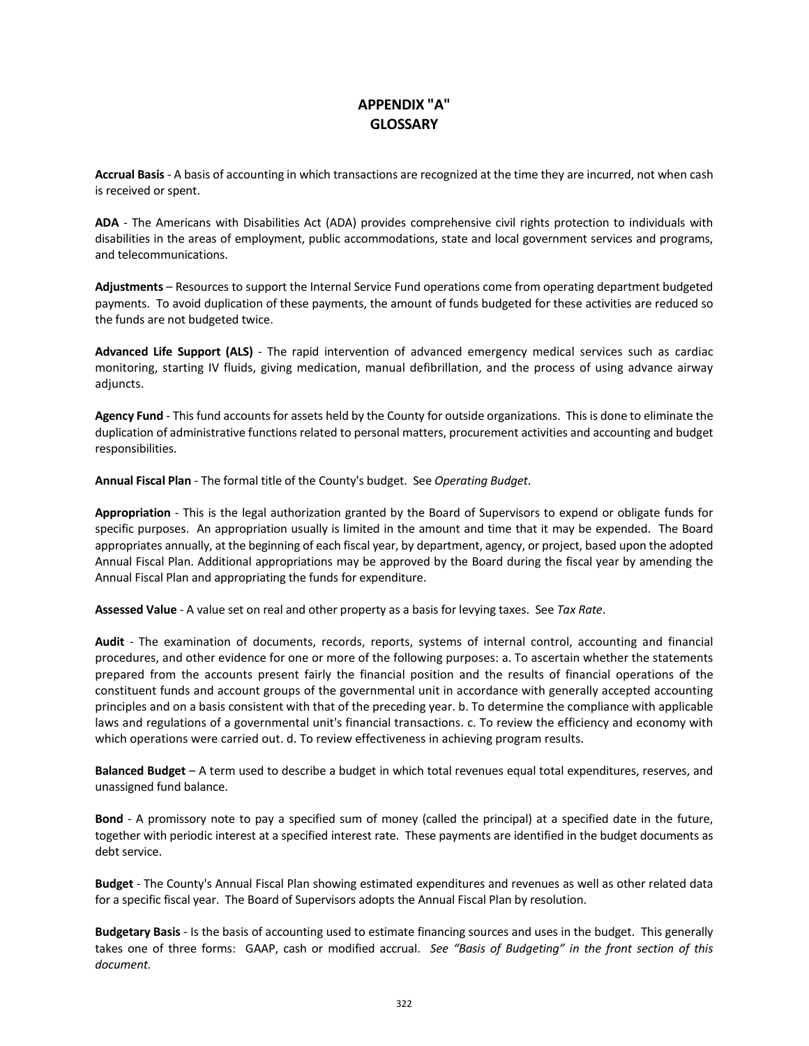## **APPENDIX "A" GLOSSARY**

**Accrual Basis** - A basis of accounting in which transactions are recognized at the time they are incurred, not when cash is received or spent.

**ADA** - The Americans with Disabilities Act (ADA) provides comprehensive civil rights protection to individuals with disabilities in the areas of employment, public accommodations, state and local government services and programs, and telecommunications.

**Adjustments** – Resources to support the Internal Service Fund operations come from operating department budgeted payments. To avoid duplication of these payments, the amount of funds budgeted for these activities are reduced so the funds are not budgeted twice.

**Advanced Life Support (ALS)** - The rapid intervention of advanced emergency medical services such as cardiac monitoring, starting IV fluids, giving medication, manual defibrillation, and the process of using advance airway adjuncts.

**Agency Fund** - This fund accounts for assets held by the County for outside organizations. This is done to eliminate the duplication of administrative functions related to personal matters, procurement activities and accounting and budget responsibilities.

**Annual Fiscal Plan** - The formal title of the County's budget. See *Operating Budget*.

**Appropriation** - This is the legal authorization granted by the Board of Supervisors to expend or obligate funds for specific purposes. An appropriation usually is limited in the amount and time that it may be expended. The Board appropriates annually, at the beginning of each fiscal year, by department, agency, or project, based upon the adopted Annual Fiscal Plan. Additional appropriations may be approved by the Board during the fiscal year by amending the Annual Fiscal Plan and appropriating the funds for expenditure.

**Assessed Value** - A value set on real and other property as a basis for levying taxes. See *Tax Rate*.

**Audit** - The examination of documents, records, reports, systems of internal control, accounting and financial procedures, and other evidence for one or more of the following purposes: a. To ascertain whether the statements prepared from the accounts present fairly the financial position and the results of financial operations of the constituent funds and account groups of the governmental unit in accordance with generally accepted accounting principles and on a basis consistent with that of the preceding year. b. To determine the compliance with applicable laws and regulations of a governmental unit's financial transactions. c. To review the efficiency and economy with which operations were carried out. d. To review effectiveness in achieving program results.

**Balanced Budget** – A term used to describe a budget in which total revenues equal total expenditures, reserves, and unassigned fund balance.

**Bond** - A promissory note to pay a specified sum of money (called the principal) at a specified date in the future, together with periodic interest at a specified interest rate. These payments are identified in the budget documents as debt service.

**Budget** - The County's Annual Fiscal Plan showing estimated expenditures and revenues as well as other related data for a specific fiscal year. The Board of Supervisors adopts the Annual Fiscal Plan by resolution.

**Budgetary Basis** - Is the basis of accounting used to estimate financing sources and uses in the budget. This generally takes one of three forms: GAAP, cash or modified accrual. *See "Basis of Budgeting" in the front section of this document.*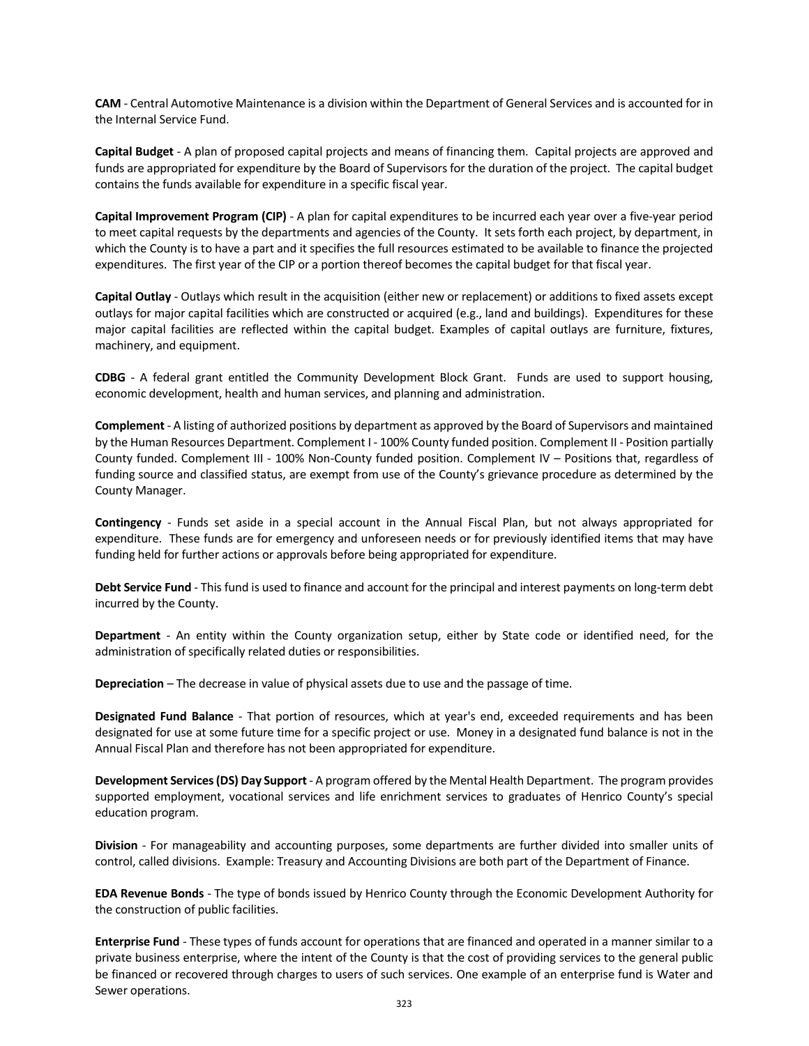**CAM** - Central Automotive Maintenance is a division within the Department of General Services and is accounted for in the Internal Service Fund.

**Capital Budget** - A plan of proposed capital projects and means of financing them. Capital projects are approved and funds are appropriated for expenditure by the Board of Supervisors for the duration of the project. The capital budget contains the funds available for expenditure in a specific fiscal year.

**Capital Improvement Program (CIP)** - A plan for capital expenditures to be incurred each year over a five-year period to meet capital requests by the departments and agencies of the County. It sets forth each project, by department, in which the County is to have a part and it specifies the full resources estimated to be available to finance the projected expenditures. The first year of the CIP or a portion thereof becomes the capital budget for that fiscal year.

**Capital Outlay** - Outlays which result in the acquisition (either new or replacement) or additions to fixed assets except outlays for major capital facilities which are constructed or acquired (e.g., land and buildings). Expenditures for these major capital facilities are reflected within the capital budget. Examples of capital outlays are furniture, fixtures, machinery, and equipment.

**CDBG** - A federal grant entitled the Community Development Block Grant. Funds are used to support housing, economic development, health and human services, and planning and administration.

**Complement** - A listing of authorized positions by department as approved by the Board of Supervisors and maintained by the Human Resources Department. Complement I - 100% County funded position. Complement II - Position partially County funded. Complement III - 100% Non-County funded position. Complement IV – Positions that, regardless of funding source and classified status, are exempt from use of the County's grievance procedure as determined by the County Manager.

**Contingency** - Funds set aside in a special account in the Annual Fiscal Plan, but not always appropriated for expenditure. These funds are for emergency and unforeseen needs or for previously identified items that may have funding held for further actions or approvals before being appropriated for expenditure.

**Debt Service Fund** - This fund is used to finance and account for the principal and interest payments on long-term debt incurred by the County.

**Department** - An entity within the County organization setup, either by State code or identified need, for the administration of specifically related duties or responsibilities.

**Depreciation** – The decrease in value of physical assets due to use and the passage of time.

**Designated Fund Balance** - That portion of resources, which at year's end, exceeded requirements and has been designated for use at some future time for a specific project or use. Money in a designated fund balance is not in the Annual Fiscal Plan and therefore has not been appropriated for expenditure.

**Development Services (DS) Day Support** - A program offered by the Mental Health Department. The program provides supported employment, vocational services and life enrichment services to graduates of Henrico County's special education program.

**Division** - For manageability and accounting purposes, some departments are further divided into smaller units of control, called divisions. Example: Treasury and Accounting Divisions are both part of the Department of Finance.

**EDA Revenue Bonds** - The type of bonds issued by Henrico County through the Economic Development Authority for the construction of public facilities.

**Enterprise Fund** - These types of funds account for operations that are financed and operated in a manner similar to a private business enterprise, where the intent of the County is that the cost of providing services to the general public be financed or recovered through charges to users of such services. One example of an enterprise fund is Water and Sewer operations.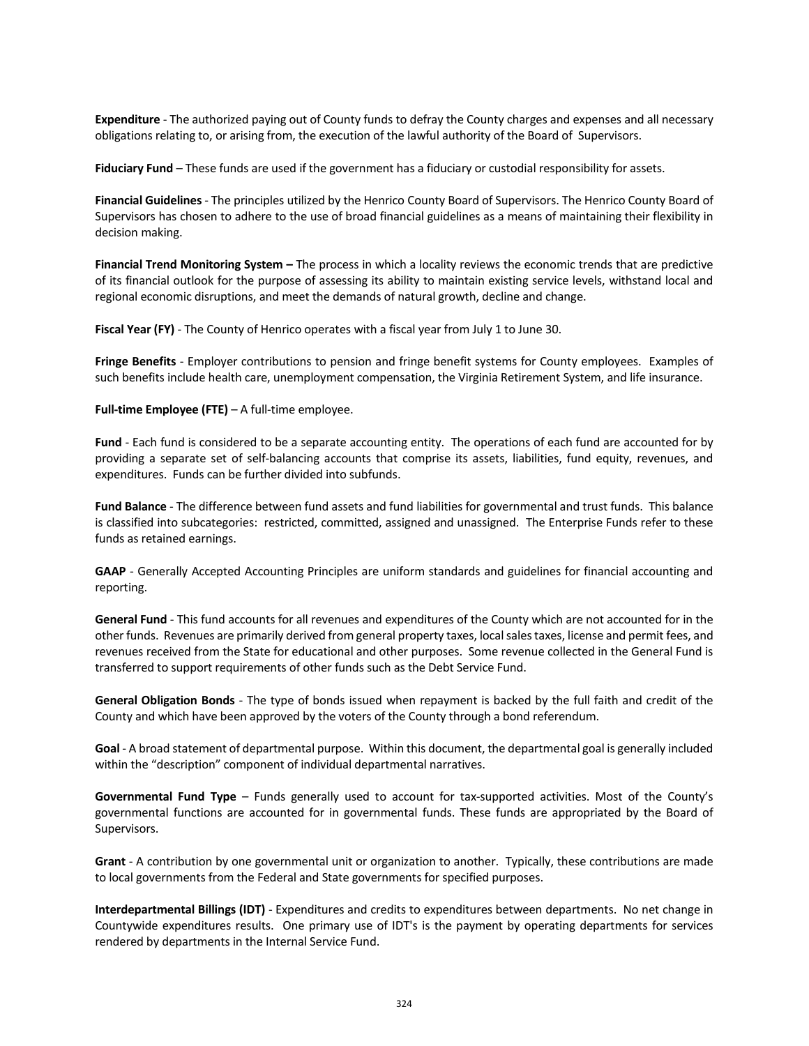**Expenditure** - The authorized paying out of County funds to defray the County charges and expenses and all necessary obligations relating to, or arising from, the execution of the lawful authority of the Board of Supervisors.

**Fiduciary Fund** – These funds are used if the government has a fiduciary or custodial responsibility for assets.

**Financial Guidelines** - The principles utilized by the Henrico County Board of Supervisors. The Henrico County Board of Supervisors has chosen to adhere to the use of broad financial guidelines as a means of maintaining their flexibility in decision making.

**Financial Trend Monitoring System –** The process in which a locality reviews the economic trends that are predictive of its financial outlook for the purpose of assessing its ability to maintain existing service levels, withstand local and regional economic disruptions, and meet the demands of natural growth, decline and change.

**Fiscal Year (FY)** - The County of Henrico operates with a fiscal year from July 1 to June 30.

**Fringe Benefits** - Employer contributions to pension and fringe benefit systems for County employees. Examples of such benefits include health care, unemployment compensation, the Virginia Retirement System, and life insurance.

**Full-time Employee (FTE)** – A full-time employee.

**Fund** - Each fund is considered to be a separate accounting entity. The operations of each fund are accounted for by providing a separate set of self-balancing accounts that comprise its assets, liabilities, fund equity, revenues, and expenditures. Funds can be further divided into subfunds.

**Fund Balance** - The difference between fund assets and fund liabilities for governmental and trust funds. This balance is classified into subcategories: restricted, committed, assigned and unassigned. The Enterprise Funds refer to these funds as retained earnings.

**GAAP** - Generally Accepted Accounting Principles are uniform standards and guidelines for financial accounting and reporting.

**General Fund** - This fund accounts for all revenues and expenditures of the County which are not accounted for in the other funds. Revenues are primarily derived from general property taxes, local sales taxes, license and permit fees, and revenues received from the State for educational and other purposes. Some revenue collected in the General Fund is transferred to support requirements of other funds such as the Debt Service Fund.

**General Obligation Bonds** - The type of bonds issued when repayment is backed by the full faith and credit of the County and which have been approved by the voters of the County through a bond referendum.

**Goal** - A broad statement of departmental purpose. Within this document, the departmental goal is generally included within the "description" component of individual departmental narratives.

**Governmental Fund Type** – Funds generally used to account for tax-supported activities. Most of the County's governmental functions are accounted for in governmental funds. These funds are appropriated by the Board of Supervisors.

**Grant** - A contribution by one governmental unit or organization to another. Typically, these contributions are made to local governments from the Federal and State governments for specified purposes.

**Interdepartmental Billings (IDT)** - Expenditures and credits to expenditures between departments. No net change in Countywide expenditures results. One primary use of IDT's is the payment by operating departments for services rendered by departments in the Internal Service Fund.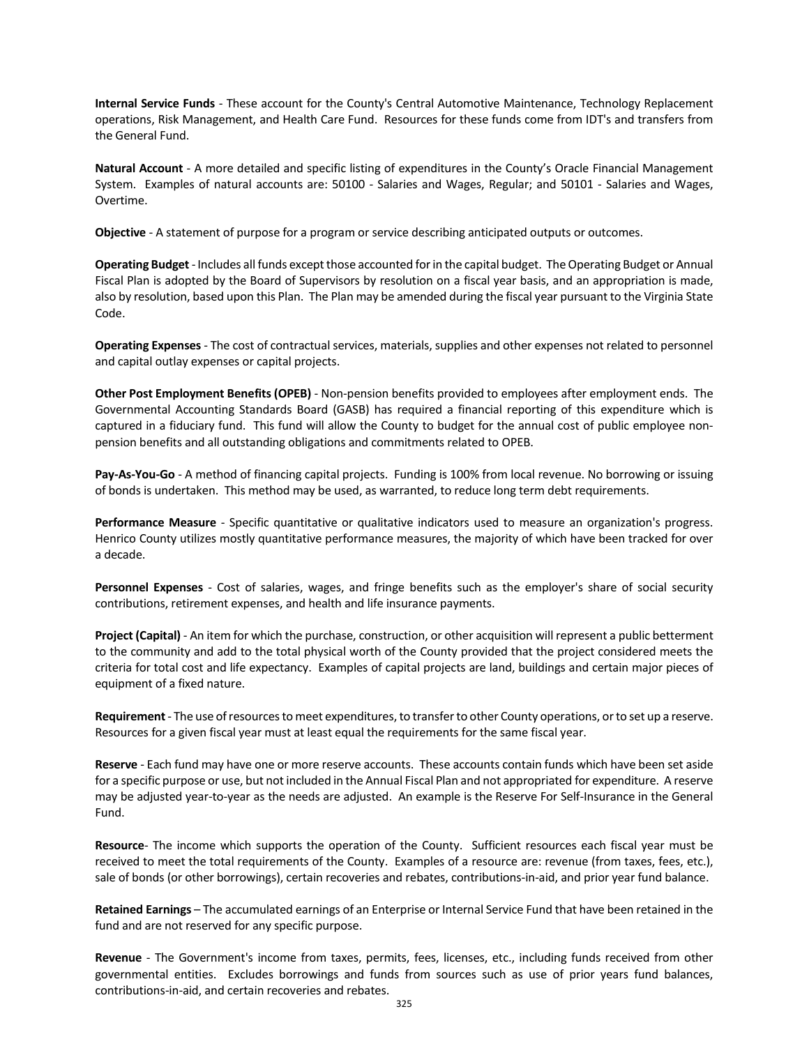**Internal Service Funds** - These account for the County's Central Automotive Maintenance, Technology Replacement operations, Risk Management, and Health Care Fund. Resources for these funds come from IDT's and transfers from the General Fund.

**Natural Account** - A more detailed and specific listing of expenditures in the County's Oracle Financial Management System. Examples of natural accounts are: 50100 - Salaries and Wages, Regular; and 50101 - Salaries and Wages, Overtime.

**Objective** - A statement of purpose for a program or service describing anticipated outputs or outcomes.

**Operating Budget** - Includes all funds except those accounted for in the capital budget. The Operating Budget or Annual Fiscal Plan is adopted by the Board of Supervisors by resolution on a fiscal year basis, and an appropriation is made, also by resolution, based upon this Plan. The Plan may be amended during the fiscal year pursuant to the Virginia State Code.

**Operating Expenses** - The cost of contractual services, materials, supplies and other expenses not related to personnel and capital outlay expenses or capital projects.

**Other Post Employment Benefits (OPEB)** - Non-pension benefits provided to employees after employment ends. The Governmental Accounting Standards Board (GASB) has required a financial reporting of this expenditure which is captured in a fiduciary fund. This fund will allow the County to budget for the annual cost of public employee nonpension benefits and all outstanding obligations and commitments related to OPEB.

**Pay-As-You-Go** - A method of financing capital projects. Funding is 100% from local revenue. No borrowing or issuing of bonds is undertaken. This method may be used, as warranted, to reduce long term debt requirements.

**Performance Measure** - Specific quantitative or qualitative indicators used to measure an organization's progress. Henrico County utilizes mostly quantitative performance measures, the majority of which have been tracked for over a decade.

**Personnel Expenses** - Cost of salaries, wages, and fringe benefits such as the employer's share of social security contributions, retirement expenses, and health and life insurance payments.

**Project (Capital)** - An item for which the purchase, construction, or other acquisition will represent a public betterment to the community and add to the total physical worth of the County provided that the project considered meets the criteria for total cost and life expectancy. Examples of capital projects are land, buildings and certain major pieces of equipment of a fixed nature.

**Requirement** - The use of resources to meet expenditures, to transfer to other County operations, or to set up a reserve. Resources for a given fiscal year must at least equal the requirements for the same fiscal year.

**Reserve** - Each fund may have one or more reserve accounts. These accounts contain funds which have been set aside for a specific purpose or use, but not included in the Annual Fiscal Plan and not appropriated for expenditure. A reserve may be adjusted year-to-year as the needs are adjusted. An example is the Reserve For Self-Insurance in the General Fund.

**Resource**- The income which supports the operation of the County. Sufficient resources each fiscal year must be received to meet the total requirements of the County. Examples of a resource are: revenue (from taxes, fees, etc.), sale of bonds (or other borrowings), certain recoveries and rebates, contributions-in-aid, and prior year fund balance.

**Retained Earnings** – The accumulated earnings of an Enterprise or Internal Service Fund that have been retained in the fund and are not reserved for any specific purpose.

**Revenue** - The Government's income from taxes, permits, fees, licenses, etc., including funds received from other governmental entities. Excludes borrowings and funds from sources such as use of prior years fund balances, contributions-in-aid, and certain recoveries and rebates.